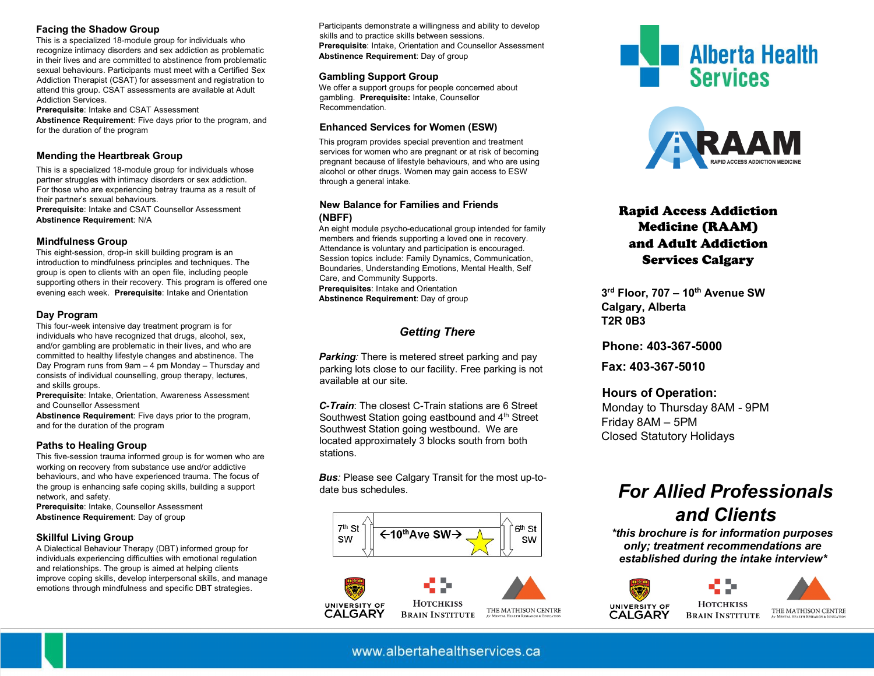#### **Facing the Shadow Group**

This is a specialized 18-module group for individuals who recognize intimacy disorders and sex addiction as problematic in their lives and are committed to abstinence from problematic sexual behaviours. Participants must meet with a Certified Sex Addiction Therapist (CSAT) for assessment and registration to attend this group. CSAT assessments are available at Adult Addiction Services.

**Prerequisite**: Intake and CSAT Assessment **Abstinence Requirement**: Five days prior to the program, and for the duration of the program

#### **Mending the Heartbreak Group**

This is a specialized 18-module group for individuals whose partner struggles with intimacy disorders or sex addiction. For those who are experiencing betray trauma as a result of their partner's sexual behaviours. **Prerequisite**: Intake and CSAT Counsellor Assessment

**Abstinence Requirement**: N/A

#### **Mindfulness Group**

This eight-session, drop-in skill building program is an introduction to mindfulness principles and techniques. The group is open to clients with an open file, including people supporting others in their recovery. This program is offered one evening each week. **Prerequisite**: Intake and Orientation

#### **Day Program**

This four-week intensive day treatment program is for individuals who have recognized that drugs, alcohol, sex, and/or gambling are problematic in their lives, and who are committed to healthy lifestyle changes and abstinence. The Day Program runs from 9am – 4 pm Monday – Thursday and consists of individual counselling, group therapy, lectures, and skills groups.

**Prerequisite**: Intake, Orientation, Awareness Assessment and Counsellor Assessment

**Abstinence Requirement**: Five days prior to the program, and for the duration of the program

#### **Paths to Healing Group**

This five-session trauma informed group is for women who are working on recovery from substance use and/or addictive behaviours, and who have experienced trauma. The focus of the group is enhancing safe coping skills, building a support network, and safety.

**Prerequisite**: Intake, Counsellor Assessment **Abstinence Requirement**: Day of group

#### **Skillful Living Group**

A Dialectical Behaviour Therapy (DBT) informed group for individuals experiencing difficulties with emotional regulation and relationships. The group is aimed at helping clients improve coping skills, develop interpersonal skills, and manage emotions through mindfulness and specific DBT strategies.

Participants demonstrate a willingness and ability to develop skills and to practice skills between sessions. **Prerequisite**: Intake, Orientation and Counsellor Assessment **Abstinence Requirement**: Day of group

#### **Gambling Support Group**

We offer a support groups for people concerned about gambling. **Prerequisite:** Intake, Counsellor Recommendation.

#### **Enhanced Services for Women (ESW)**

This program provides special prevention and treatment services for women who are pregnant or at risk of becoming pregnant because of lifestyle behaviours, and who are using alcohol or other drugs. Women may gain access to ESW through a general intake.

#### **New Balance for Families and Friends (NBFF)**

An eight module psycho-educational group intended for family members and friends supporting a loved one in recovery. Attendance is voluntary and participation is encouraged. Session topics include: Family Dynamics, Communication, Boundaries, Understanding Emotions, Mental Health, Self Care, and Community Supports. **Prerequisites**: Intake and Orientation **Abstinence Requirement**: Day of group

## *Getting There*

*Parking:* There is metered street parking and pay parking lots close to our facility. Free parking is not available at our site.

*C-Train*: The closest C-Train stations are 6 Street Southwest Station going eastbound and 4<sup>th</sup> Street Southwest Station going westbound. We are located approximately 3 blocks south from both stations.

*Bus:* Please see Calgary Transit for the most up-todate bus schedules.





**HOTCHKISS** THE MATHISON CENTRE **BRAIN INSTITUTE** 





## Rapid Access Addiction Medicine (RAAM) and Adult Addiction Services Calgary

**3rd Floor, 707 – 10th Avenue SW Calgary, Alberta T2R 0B3** 

**Phone: 403-367-5000** 

**Fax: 403-367-5010** 

## **Hours of Operation:**

Monday to Thursday 8AM - 9PM Friday 8AM – 5PM Closed Statutory Holidays

# *For Allied Professionals and Clients*

 *\*this brochure is for information purposes only; treatment recommendations are established during the intake interview\**



THE MATHISON CENTRE

www.albertahealthservices.ca